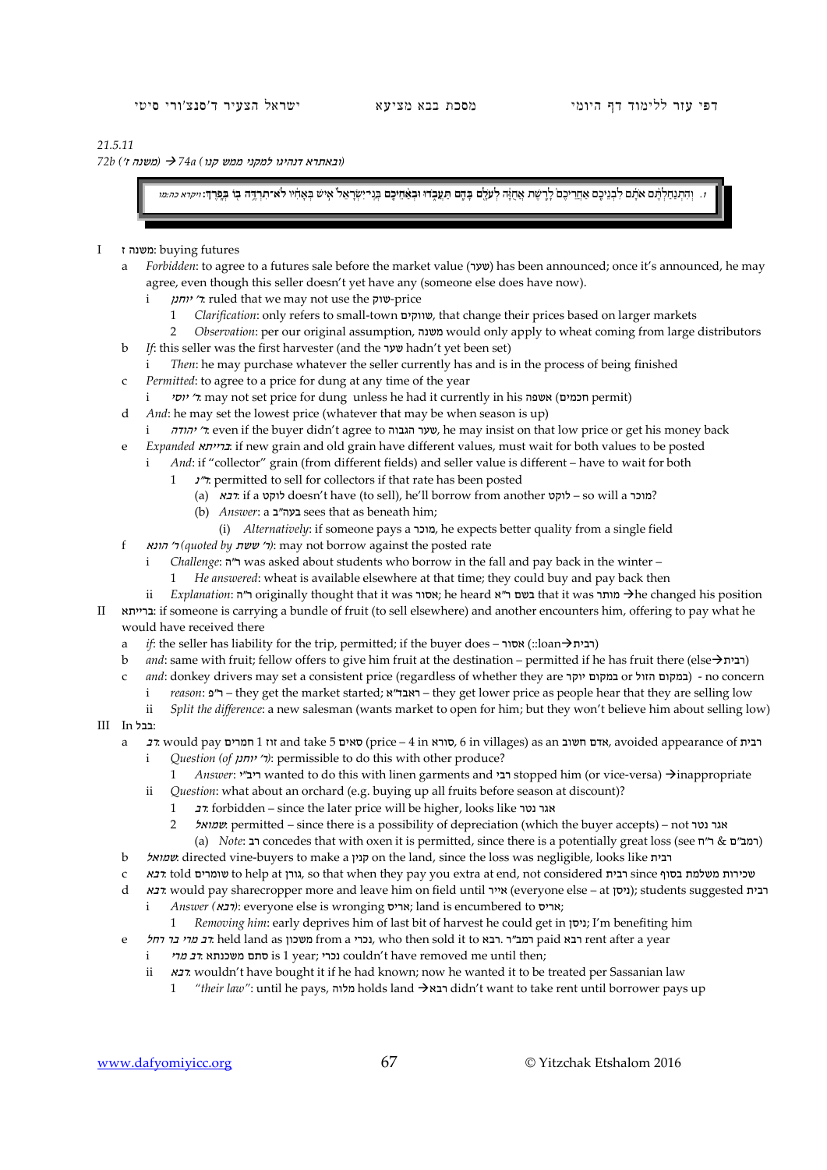## *21.5.11*

 *(*ובאתרא דנהיגו למקני ממש קנו*) a74 )* משנה ז'*) b72*

והתנחלותם אתם לבניכם אחריכם לרשת אחוה לעלם בהם תעבדו ובאחיכם בנרישראל איש באחיו לא תרבה בו בפרד: יי*קוא מהמו* 

## I ז משנה: buying futures

- a *Forbidden*: to agree to a futures sale before the market value (שער) has been announced; once it's announced, he may agree, even though this seller doesn't yet have any (someone else does have now).
	- i יוחנן' ר: ruled that we may not use the שוק-price
		- 1 *Clarification*: only refers to small-town שווקים, that change their prices based on larger markets
		- 2 *Observation*: per our original assumption, משנה would only apply to wheat coming from large distributors
- b *If*: this seller was the first harvester (and the שער hadn't yet been set)
	- i *Then*: he may purchase whatever the seller currently has and is in the process of being finished
	- Permitted: to agree to a price for dung at any time of the year
	- יוסי, may not set price for dung unless he had it currently in his אשפה, "
- d *And*: he may set the lowest price (whatever that may be when season is up)
- i יהודה' ר: even if the buyer didn't agree to הגבוה שער, he may insist on that low price or get his money back
- e *Expanded* ברייתא: if new grain and old grain have different values, must wait for both values to be posted
	- i *And*: if "collector" grain (from different fields) and seller value is different have to wait for both
		- $1$ ". permitted to sell for collectors if that rate has been posted
			- (a)  $\kappa$ בא: if a לוקט doesn't have (to sell), he'll borrow from another לוקט so will a 2
			- (b) *Answer*: בעה"ב sees that as beneath him;
			- (i) *Alternatively*: if someone pays a מוכר, he expects better quality from a single field
- f הונא' ר*) quoted by* ששת' ר*(*: may not borrow against the posted rate
	- i *Challenge*: ה"ר was asked about students who borrow in the fall and pay back in the winter –
	- 1 *He answered*: wheat is available elsewhere at that time; they could buy and pay back then
- ii *Explanation*: ה"ר originally thought that it was אסור; he heard אסור בשם that it was מותר he changed his position II ברייתא: if someone is carrying a bundle of fruit (to sell elsewhere) and another encounters him, offering to pay what he would have received there
	- a *if*: the seller has liability for the trip, permitted; if the buyer does אסור) ::loan $\rightarrow$ ובית
	- b *and*: same with fruit; fellow offers to give him fruit at the destination permitted if he has fruit there (elseרבית (
	- c *and*: donkey drivers may set a consistent price (regardless of whether they are ובמקום הזול concern) במקום הזול
		- i *reason*: ר"פ they get the market started; אראבד"א they get lower price as people hear that they are selling low
		- ii *Split the difference*: a new salesman (wants market to open for him; but they won't believe him about selling low)
- $III$ III :
	- a רבית 1 nt and take 5 סאים) סאים (price 4 in סורא, avoided appearance of רבית, avoided appearance of רבית
		- i *Question (of 'יוחנן' יוחנן'*): permissible to do this with other produce?
		- 1 *Answer*: י**ב״** wanted to do this with linen garments and ר**בי stopped him (or vice-versa**) → inappropriate
		- ii *Question*: what about an orchard (e.g. buying up all fruits before season at discount)?
			- 1 רב: forbidden since the later price will be higher, looks like נטר אגר
			- 2 שמואל: permitted since there is a possibility of depreciation (which the buyer accepts) not נטר אגר (a) *Note*: רב concedes that with oxen it is permitted, since there is a potentially great loss (see ח"ר & המב"ם &
	- b שמואל: directed vine-buyers to make a קנין on the land, since the loss was negligible, looks like רבית
	- c רבא: told שומרים to help at גורן, so that when they pay you extra at end, not considered בירת since בכית since בכית
	- d  *רבית* students suggested (ניסן; students suggested אייר); students suggested רבית
		- i *Answer (רבא)*: everyone else is wronging אריס; land is encumbered to אריס;
		- 1 *Removing him*: early deprives him of last bit of harvest he could get in ניסן ;I'm benefiting him
	- e רחל בר בר החל בר paid trom a נכרי from a נכרי, who then sold it to רמב"ר. רבא, רחל rent after a year
		- i נכרי is 1 year; נכרי couldn't have removed me until then;
		- ii *הבא*: wouldn't have bought it if he had known; now he wanted it to be treated per Sassanian law
			- 1 *"their law"*: until he pays, מלוה holds land רבא didn't want to take rent until borrower pays up